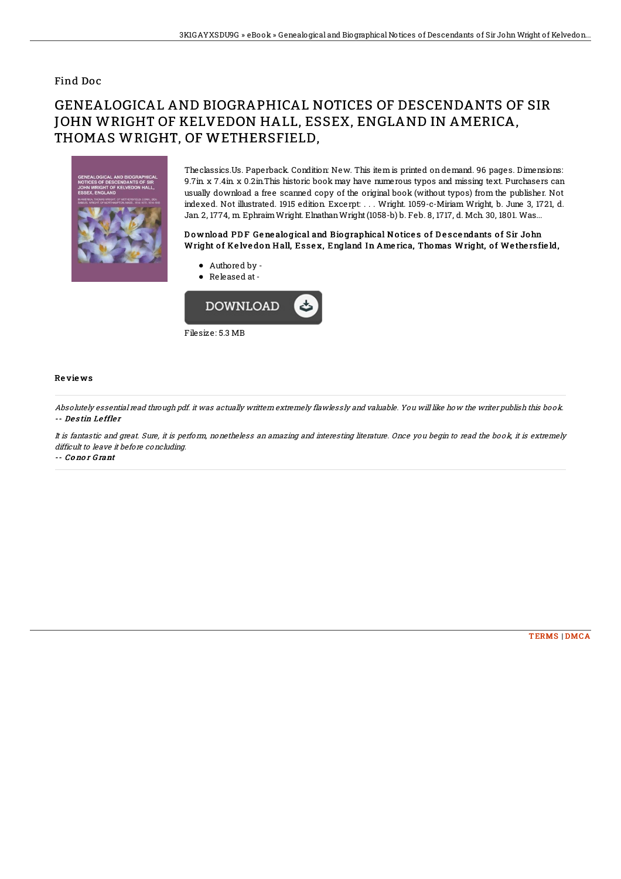### Find Doc

# GENEALOGICAL AND BIOGRAPHICAL NOTICES OF DESCENDANTS OF SIR **JOHN WRIGHT OF KELVEDON HALL, ESSEX, ENGLAND IN AMERICA.** THOMAS WRIGHT, OF WETHERSFIELD,



The classics Us. Paperback, Condition: New. This item is printed on demand. 96 pages. Dimensions: 9.7in x 7.4in x 0.2in This historic book may have numerous typos and missing text. Purchasers can usually download a free scanned copy of the original book (without typos) from the publisher. Not indexed. Not illustrated. 1915 edition Excerpt: ... Wright. 1059-c-Miriam Wright, b. June 3, 1721, d. Jan 2, 1774, m Ephraim Wright. Elnathan Wright (1058-b) b. Feb. 8, 1717, d. Mch. 30, 1801. Was...

#### Download PDF Genealogical and Biographical Notices of Descendants of Sir John Wright of Kelvedon Hall, Essex, England In America, Thomas Wright, of Wethersfield,

- Authored by -
- Released at -



#### Reviews

Absolutely essential read through pdf. it was actually writtern extremely flawlessly and valuable. You will like how the writer publish this book. -- Destin Leffler

It is fantastic and great. Sure, it is perform, nonetheless an amazing and interesting literature. Once you begin to read the book, it is extremely difficult to leave it before concluding.

-- Conor Grant